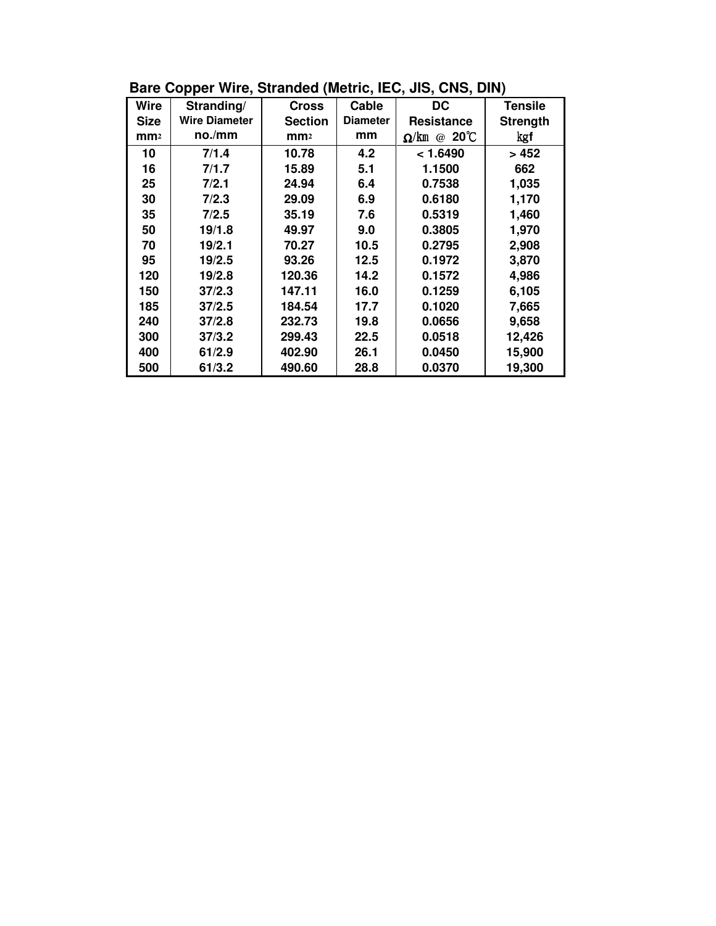| Wire            | Stranding/           | <b>Cross</b>    | Cable           | DC                                         | <b>Tensile</b>  |
|-----------------|----------------------|-----------------|-----------------|--------------------------------------------|-----------------|
| <b>Size</b>     | <b>Wire Diameter</b> | <b>Section</b>  | <b>Diameter</b> | <b>Resistance</b>                          | <b>Strength</b> |
| mm <sub>2</sub> | no./mm               | mm <sub>2</sub> | mm              | $20^{\circ}$ C<br>$\Omega$ /km<br>$\omega$ | kgf             |
| 10              | 7/1.4                | 10.78           | 4.2             | < 1.6490                                   | > 452           |
| 16              | 7/1.7                | 15.89           | 5.1             | 1.1500                                     | 662             |
| 25              | 7/2.1                | 24.94           | 6.4             | 0.7538                                     | 1,035           |
| 30              | 7/2.3                | 29.09           | 6.9             | 0.6180                                     | 1,170           |
| 35              | 7/2.5                | 35.19           | 7.6             | 0.5319                                     | 1,460           |
| 50              | 19/1.8               | 49.97           | 9.0             | 0.3805                                     | 1,970           |
| 70              | 19/2.1               | 70.27           | 10.5            | 0.2795                                     | 2,908           |
| 95              | 19/2.5               | 93.26           | 12.5            | 0.1972                                     | 3,870           |
| 120             | 19/2.8               | 120.36          | 14.2            | 0.1572                                     | 4,986           |
| 150             | 37/2.3               | 147.11          | 16.0            | 0.1259                                     | 6,105           |
| 185             | 37/2.5               | 184.54          | 17.7            | 0.1020                                     | 7,665           |
| 240             | 37/2.8               | 232.73          | 19.8            | 0.0656                                     | 9,658           |
| 300             | 37/3.2               | 299.43          | 22.5            | 0.0518                                     | 12,426          |
| 400             | 61/2.9               | 402.90          | 26.1            | 0.0450                                     | 15,900          |
| 500             | 61/3.2               | 490.60          | 28.8            | 0.0370                                     | 19,300          |

**Bare Copper Wire, Stranded (Metric, IEC, JIS, CNS, DIN)**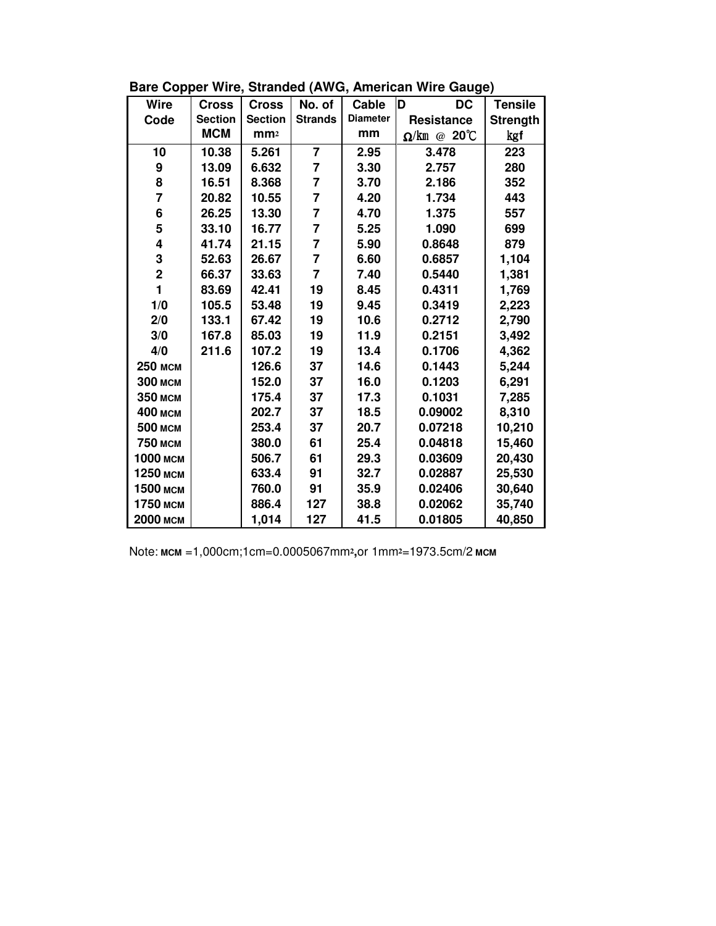| <b>Wire</b>    | <b>Cross</b>   | <b>Cross</b>    | No. of         | Cable           | D<br><b>DC</b>      | <b>Tensile</b>  |
|----------------|----------------|-----------------|----------------|-----------------|---------------------|-----------------|
| Code           | <b>Section</b> | <b>Section</b>  | <b>Strands</b> | <b>Diameter</b> | Resistance          | <b>Strength</b> |
|                | <b>MCM</b>     | mm <sub>2</sub> |                | mm              | $\Omega$ /km @ 20°C | kgf             |
| 10             | 10.38          | 5.261           | $\overline{7}$ | 2.95            | 3.478               | 223             |
| 9              | 13.09          | 6.632           | $\overline{7}$ | 3.30            | 2.757               | 280             |
| 8              | 16.51          | 8.368           | $\overline{7}$ | 3.70            | 2.186               | 352             |
| $\overline{7}$ | 20.82          | 10.55           | 7              | 4.20            | 1.734               | 443             |
| 6              | 26.25          | 13.30           | $\overline{7}$ | 4.70            | 1.375               | 557             |
| 5              | 33.10          | 16.77           | $\overline{7}$ | 5.25            | 1.090               | 699             |
| 4              | 41.74          | 21.15           | $\overline{7}$ | 5.90            | 0.8648              | 879             |
| 3              | 52.63          | 26.67           | 7              | 6.60            | 0.6857              | 1,104           |
| $\overline{2}$ | 66.37          | 33.63           | $\overline{7}$ | 7.40            | 0.5440              | 1,381           |
| 1              | 83.69          | 42.41           | 19             | 8.45            | 0.4311              | 1,769           |
| 1/0            | 105.5          | 53.48           | 19             | 9.45            | 0.3419              | 2,223           |
| 2/0            | 133.1          | 67.42           | 19             | 10.6            | 0.2712              | 2,790           |
| 3/0            | 167.8          | 85.03           | 19             | 11.9            | 0.2151              | 3,492           |
| 4/0            | 211.6          | 107.2           | 19             | 13.4            | 0.1706              | 4,362           |
| 250 мсм        |                | 126.6           | 37             | 14.6            | 0.1443              | 5,244           |
| <b>300 мсм</b> |                | 152.0           | 37             | 16.0            | 0.1203              | 6,291           |
| 350 мсм        |                | 175.4           | 37             | 17.3            | 0.1031              | 7,285           |
| 400 мсм        |                | 202.7           | 37             | 18.5            | 0.09002             | 8,310           |
| 500 мсм        |                | 253.4           | 37             | 20.7            | 0.07218             | 10,210          |
| 750 мсм        |                | 380.0           | 61             | 25.4            | 0.04818             | 15,460          |
| 1000 мсм       |                | 506.7           | 61             | 29.3            | 0.03609             | 20,430          |
| 1250 мсм       |                | 633.4           | 91             | 32.7            | 0.02887             | 25,530          |
| 1500 мсм       |                | 760.0           | 91             | 35.9            | 0.02406             | 30,640          |
| 1750 мсм       |                | 886.4           | 127            | 38.8            | 0.02062             | 35,740          |
| 2000 мсм       |                | 1,014           | 127            | 41.5            | 0.01805             | 40,850          |

**Bare Copper Wire, Stranded (AWG, American Wire Gauge)**

Note: **MCM** =1,000cm;1cm=0.0005067mm**²,**or 1mm**²**=1973.5cm/2 **MCM**